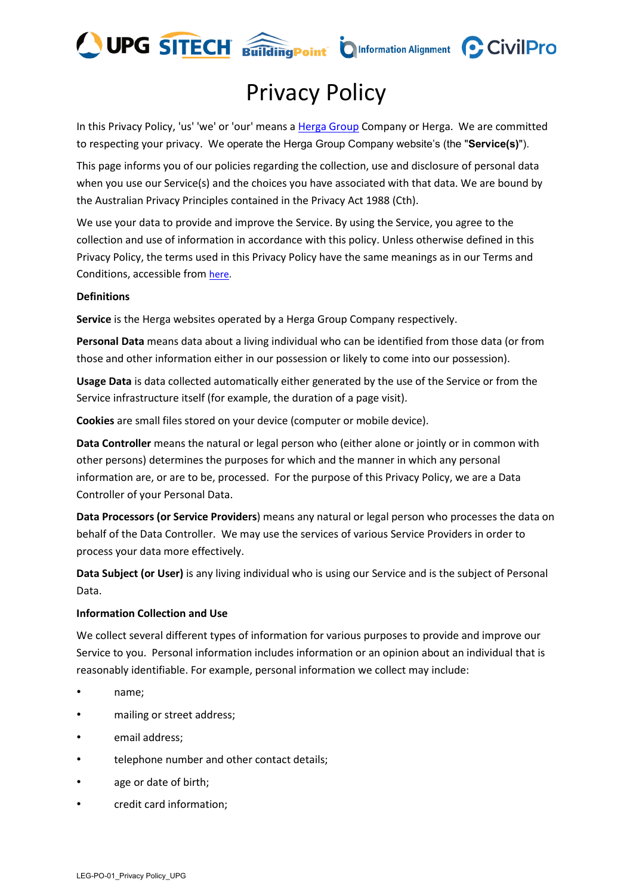

# Privacy Policy

In this Privacy Policy, 'us' 'we' or 'our' means [a Herga Group](https://upgsolutions.com/index.php/group/) Company or Herga. We are committed to respecting your privacy. We operate the Herga Group Company website's (the "**Service(s)**").

This page informs you of our policies regarding the collection, use and disclosure of personal data when you use our Service(s) and the choices you have associated with that data. We are bound by the Australian Privacy Principles contained in the Privacy Act 1988 (Cth).

We use your data to provide and improve the Service. By using the Service, you agree to the collection and use of information in accordance with this policy. Unless otherwise defined in this Privacy Policy, the terms used in this Privacy Policy have the same meanings as in our Terms and Conditions, accessible from [here.](http://upgsolutions.com/docs/TCSaleofProducts_Services.pdf)

# **Definitions**

**Service** is the Herga websites operated by a Herga Group Company respectively.

**Personal Data** means data about a living individual who can be identified from those data (or from those and other information either in our possession or likely to come into our possession).

**Usage Data** is data collected automatically either generated by the use of the Service or from the Service infrastructure itself (for example, the duration of a page visit).

**Cookies** are small files stored on your device (computer or mobile device).

**Data Controller** means the natural or legal person who (either alone or jointly or in common with other persons) determines the purposes for which and the manner in which any personal information are, or are to be, processed. For the purpose of this Privacy Policy, we are a Data Controller of your Personal Data.

**Data Processors (or Service Providers**) means any natural or legal person who processes the data on behalf of the Data Controller. We may use the services of various Service Providers in order to process your data more effectively.

**Data Subject (or User)** is any living individual who is using our Service and is the subject of Personal Data.

# **Information Collection and Use**

We collect several different types of information for various purposes to provide and improve our Service to you. Personal information includes information or an opinion about an individual that is reasonably identifiable. For example, personal information we collect may include:

- name;
- mailing or street address;
- email address;
- telephone number and other contact details;
- age or date of birth;
- credit card information;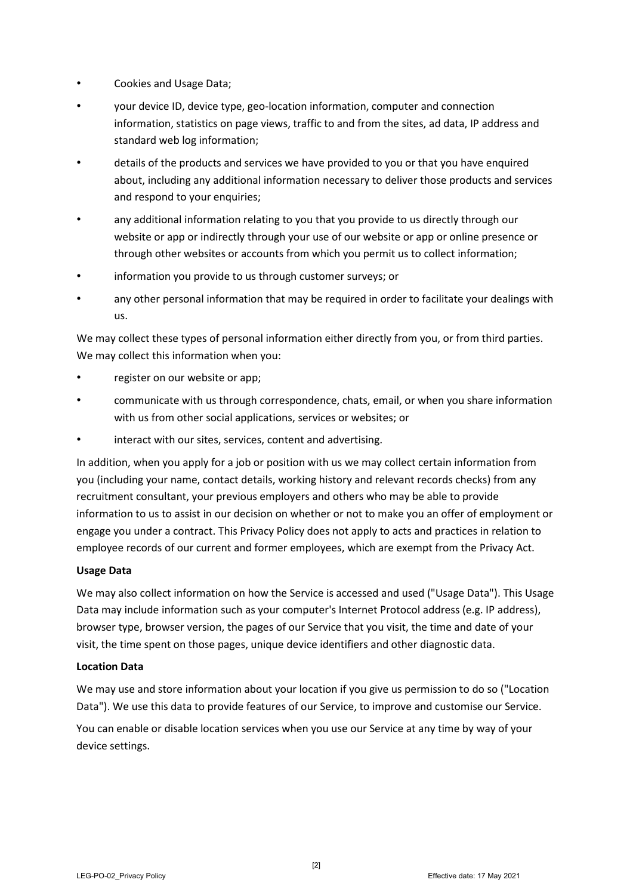- Cookies and Usage Data;
- your device ID, device type, geo-location information, computer and connection information, statistics on page views, traffic to and from the sites, ad data, IP address and standard web log information;
- details of the products and services we have provided to you or that you have enquired about, including any additional information necessary to deliver those products and services and respond to your enquiries;
- any additional information relating to you that you provide to us directly through our website or app or indirectly through your use of our website or app or online presence or through other websites or accounts from which you permit us to collect information;
- information you provide to us through customer surveys; or
- any other personal information that may be required in order to facilitate your dealings with us.

We may collect these types of personal information either directly from you, or from third parties. We may collect this information when you:

- register on our website or app;
- communicate with us through correspondence, chats, email, or when you share information with us from other social applications, services or websites; or
- interact with our sites, services, content and advertising.

In addition, when you apply for a job or position with us we may collect certain information from you (including your name, contact details, working history and relevant records checks) from any recruitment consultant, your previous employers and others who may be able to provide information to us to assist in our decision on whether or not to make you an offer of employment or engage you under a contract. This Privacy Policy does not apply to acts and practices in relation to employee records of our current and former employees, which are exempt from the Privacy Act.

# **Usage Data**

We may also collect information on how the Service is accessed and used ("Usage Data"). This Usage Data may include information such as your computer's Internet Protocol address (e.g. IP address), browser type, browser version, the pages of our Service that you visit, the time and date of your visit, the time spent on those pages, unique device identifiers and other diagnostic data.

#### **Location Data**

We may use and store information about your location if you give us permission to do so ("Location Data"). We use this data to provide features of our Service, to improve and customise our Service.

You can enable or disable location services when you use our Service at any time by way of your device settings.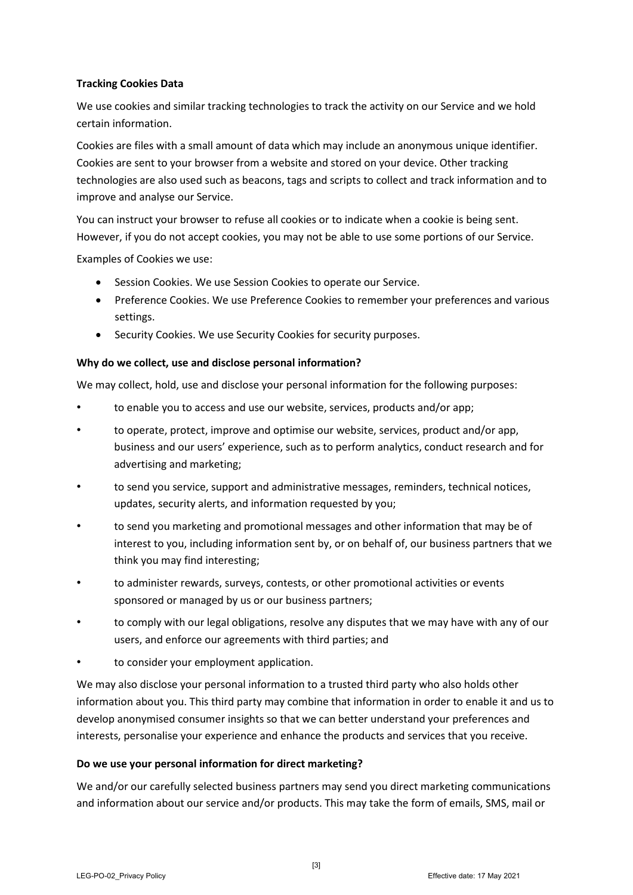# **Tracking Cookies Data**

We use cookies and similar tracking technologies to track the activity on our Service and we hold certain information.

Cookies are files with a small amount of data which may include an anonymous unique identifier. Cookies are sent to your browser from a website and stored on your device. Other tracking technologies are also used such as beacons, tags and scripts to collect and track information and to improve and analyse our Service.

You can instruct your browser to refuse all cookies or to indicate when a cookie is being sent. However, if you do not accept cookies, you may not be able to use some portions of our Service.

Examples of Cookies we use:

- Session Cookies. We use Session Cookies to operate our Service.
- Preference Cookies. We use Preference Cookies to remember your preferences and various settings.
- Security Cookies. We use Security Cookies for security purposes.

# **Why do we collect, use and disclose personal information?**

We may collect, hold, use and disclose your personal information for the following purposes:

- to enable you to access and use our website, services, products and/or app;
- to operate, protect, improve and optimise our website, services, product and/or app, business and our users' experience, such as to perform analytics, conduct research and for advertising and marketing;
- to send you service, support and administrative messages, reminders, technical notices, updates, security alerts, and information requested by you;
- to send you marketing and promotional messages and other information that may be of interest to you, including information sent by, or on behalf of, our business partners that we think you may find interesting;
- to administer rewards, surveys, contests, or other promotional activities or events sponsored or managed by us or our business partners;
- to comply with our legal obligations, resolve any disputes that we may have with any of our users, and enforce our agreements with third parties; and
- to consider your employment application.

We may also disclose your personal information to a trusted third party who also holds other information about you. This third party may combine that information in order to enable it and us to develop anonymised consumer insights so that we can better understand your preferences and interests, personalise your experience and enhance the products and services that you receive.

# **Do we use your personal information for direct marketing?**

We and/or our carefully selected business partners may send you direct marketing communications and information about our service and/or products. This may take the form of emails, SMS, mail or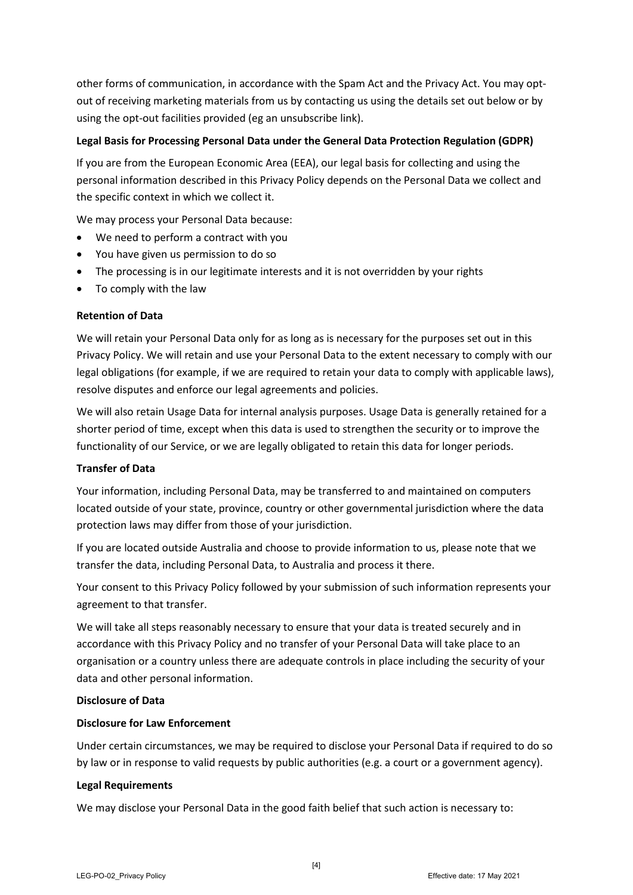other forms of communication, in accordance with the Spam Act and the Privacy Act. You may optout of receiving marketing materials from us by contacting us using the details set out below or by using the opt-out facilities provided (eg an unsubscribe link).

# **Legal Basis for Processing Personal Data under the General Data Protection Regulation (GDPR)**

If you are from the European Economic Area (EEA), our legal basis for collecting and using the personal information described in this Privacy Policy depends on the Personal Data we collect and the specific context in which we collect it.

We may process your Personal Data because:

- We need to perform a contract with you
- You have given us permission to do so
- The processing is in our legitimate interests and it is not overridden by your rights
- To comply with the law

#### **Retention of Data**

We will retain your Personal Data only for as long as is necessary for the purposes set out in this Privacy Policy. We will retain and use your Personal Data to the extent necessary to comply with our legal obligations (for example, if we are required to retain your data to comply with applicable laws), resolve disputes and enforce our legal agreements and policies.

We will also retain Usage Data for internal analysis purposes. Usage Data is generally retained for a shorter period of time, except when this data is used to strengthen the security or to improve the functionality of our Service, or we are legally obligated to retain this data for longer periods.

#### **Transfer of Data**

Your information, including Personal Data, may be transferred to and maintained on computers located outside of your state, province, country or other governmental jurisdiction where the data protection laws may differ from those of your jurisdiction.

If you are located outside Australia and choose to provide information to us, please note that we transfer the data, including Personal Data, to Australia and process it there.

Your consent to this Privacy Policy followed by your submission of such information represents your agreement to that transfer.

We will take all steps reasonably necessary to ensure that your data is treated securely and in accordance with this Privacy Policy and no transfer of your Personal Data will take place to an organisation or a country unless there are adequate controls in place including the security of your data and other personal information.

#### **Disclosure of Data**

#### **Disclosure for Law Enforcement**

Under certain circumstances, we may be required to disclose your Personal Data if required to do so by law or in response to valid requests by public authorities (e.g. a court or a government agency).

#### **Legal Requirements**

We may disclose your Personal Data in the good faith belief that such action is necessary to: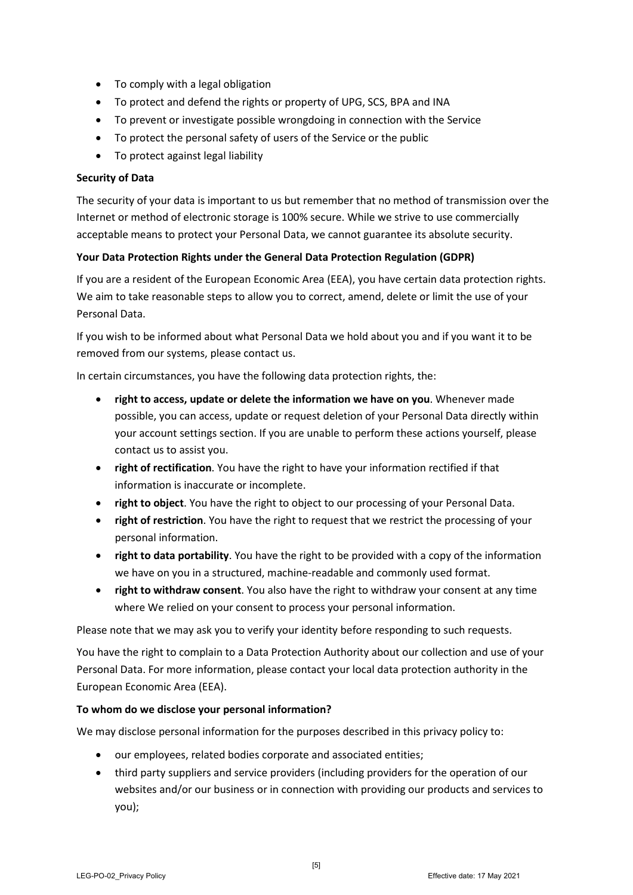- To comply with a legal obligation
- To protect and defend the rights or property of UPG, SCS, BPA and INA
- To prevent or investigate possible wrongdoing in connection with the Service
- To protect the personal safety of users of the Service or the public
- To protect against legal liability

# **Security of Data**

The security of your data is important to us but remember that no method of transmission over the Internet or method of electronic storage is 100% secure. While we strive to use commercially acceptable means to protect your Personal Data, we cannot guarantee its absolute security.

# **Your Data Protection Rights under the General Data Protection Regulation (GDPR)**

If you are a resident of the European Economic Area (EEA), you have certain data protection rights. We aim to take reasonable steps to allow you to correct, amend, delete or limit the use of your Personal Data.

If you wish to be informed about what Personal Data we hold about you and if you want it to be removed from our systems, please contact us.

In certain circumstances, you have the following data protection rights, the:

- **right to access, update or delete the information we have on you**. Whenever made possible, you can access, update or request deletion of your Personal Data directly within your account settings section. If you are unable to perform these actions yourself, please contact us to assist you.
- **right of rectification**. You have the right to have your information rectified if that information is inaccurate or incomplete.
- **right to object**. You have the right to object to our processing of your Personal Data.
- **right of restriction**. You have the right to request that we restrict the processing of your personal information.
- **right to data portability**. You have the right to be provided with a copy of the information we have on you in a structured, machine-readable and commonly used format.
- **right to withdraw consent**. You also have the right to withdraw your consent at any time where We relied on your consent to process your personal information.

Please note that we may ask you to verify your identity before responding to such requests.

You have the right to complain to a Data Protection Authority about our collection and use of your Personal Data. For more information, please contact your local data protection authority in the European Economic Area (EEA).

# **To whom do we disclose your personal information?**

We may disclose personal information for the purposes described in this privacy policy to:

- our employees, related bodies corporate and associated entities;
- third party suppliers and service providers (including providers for the operation of our websites and/or our business or in connection with providing our products and services to you);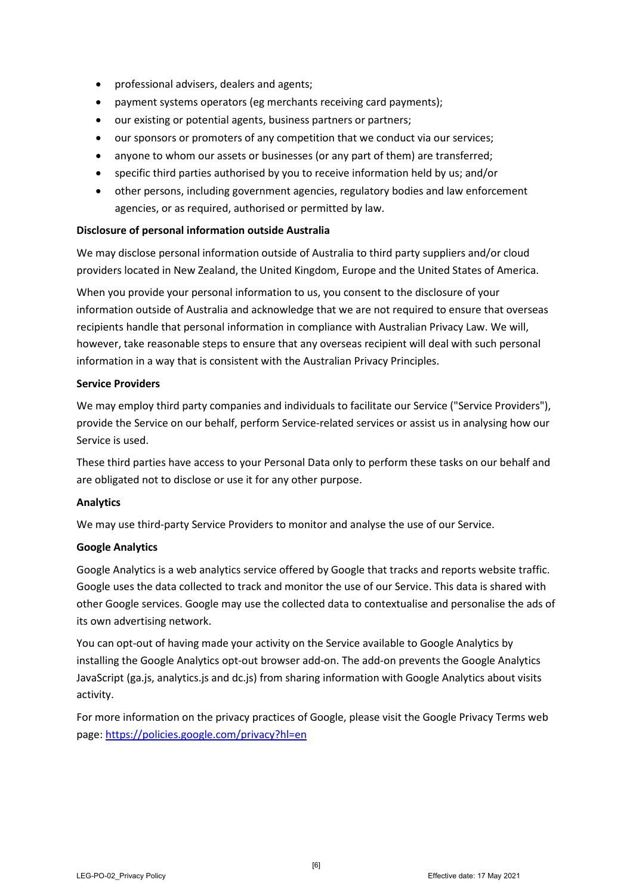- professional advisers, dealers and agents;
- payment systems operators (eg merchants receiving card payments);
- our existing or potential agents, business partners or partners;
- our sponsors or promoters of any competition that we conduct via our services;
- anyone to whom our assets or businesses (or any part of them) are transferred;
- specific third parties authorised by you to receive information held by us; and/or
- other persons, including government agencies, regulatory bodies and law enforcement agencies, or as required, authorised or permitted by law.

# **Disclosure of personal information outside Australia**

We may disclose personal information outside of Australia to third party suppliers and/or cloud providers located in New Zealand, the United Kingdom, Europe and the United States of America.

When you provide your personal information to us, you consent to the disclosure of your information outside of Australia and acknowledge that we are not required to ensure that overseas recipients handle that personal information in compliance with Australian Privacy Law. We will, however, take reasonable steps to ensure that any overseas recipient will deal with such personal information in a way that is consistent with the Australian Privacy Principles.

### **Service Providers**

We may employ third party companies and individuals to facilitate our Service ("Service Providers"), provide the Service on our behalf, perform Service-related services or assist us in analysing how our Service is used.

These third parties have access to your Personal Data only to perform these tasks on our behalf and are obligated not to disclose or use it for any other purpose.

# **Analytics**

We may use third-party Service Providers to monitor and analyse the use of our Service.

# **Google Analytics**

Google Analytics is a web analytics service offered by Google that tracks and reports website traffic. Google uses the data collected to track and monitor the use of our Service. This data is shared with other Google services. Google may use the collected data to contextualise and personalise the ads of its own advertising network.

You can opt-out of having made your activity on the Service available to Google Analytics by installing the Google Analytics opt-out browser add-on. The add-on prevents the Google Analytics JavaScript (ga.js, analytics.js and dc.js) from sharing information with Google Analytics about visits activity.

For more information on the privacy practices of Google, please visit the Google Privacy Terms web page:<https://policies.google.com/privacy?hl=en>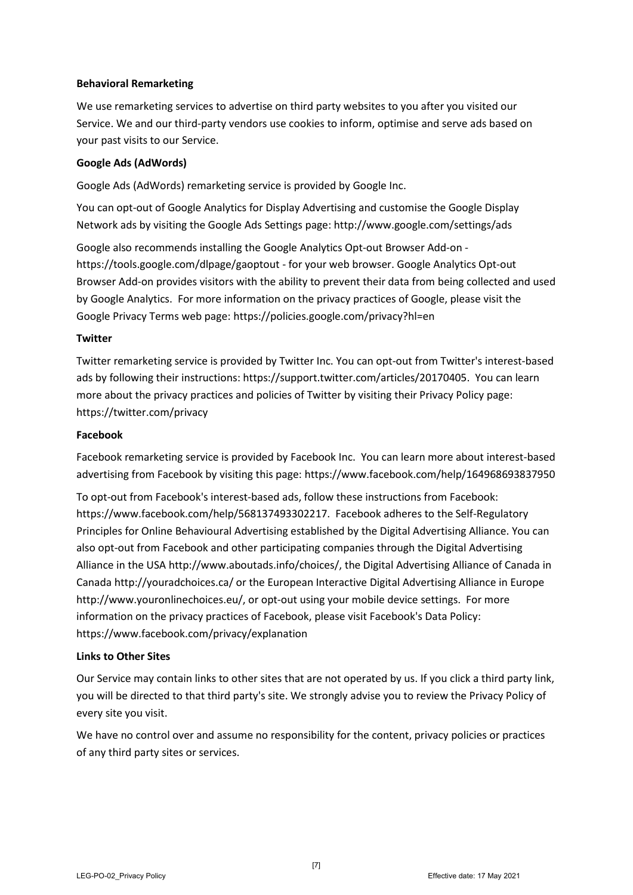# **Behavioral Remarketing**

We use remarketing services to advertise on third party websites to you after you visited our Service. We and our third-party vendors use cookies to inform, optimise and serve ads based on your past visits to our Service.

# **Google Ads (AdWords)**

Google Ads (AdWords) remarketing service is provided by Google Inc.

You can opt-out of Google Analytics for Display Advertising and customise the Google Display Network ads by visiting the Google Ads Settings page:<http://www.google.com/settings/ads>

Google also recommends installing the Google Analytics Opt-out Browser Add-on <https://tools.google.com/dlpage/gaoptout> - for your web browser. Google Analytics Opt-out Browser Add-on provides visitors with the ability to prevent their data from being collected and used by Google Analytics. For more information on the privacy practices of Google, please visit the Google Privacy Terms web page[: https://policies.google.com/privacy?hl=en](https://policies.google.com/privacy?hl=en)

# **Twitter**

Twitter remarketing service is provided by Twitter Inc. You can opt-out from Twitter's interest-based ads by following their instructions: [https://support.twitter.com/articles/20170405.](https://support.twitter.com/articles/20170405) You can learn more about the privacy practices and policies of Twitter by visiting their Privacy Policy page: <https://twitter.com/privacy>

# **Facebook**

Facebook remarketing service is provided by Facebook Inc. You can learn more about interest-based advertising from Facebook by visiting this page:<https://www.facebook.com/help/164968693837950>

To opt-out from Facebook's interest-based ads, follow these instructions from Facebook: [https://www.facebook.com/help/568137493302217.](https://www.facebook.com/help/568137493302217) Facebook adheres to the Self-Regulatory Principles for Online Behavioural Advertising established by the Digital Advertising Alliance. You can also opt-out from Facebook and other participating companies through the Digital Advertising Alliance in the USA [http://www.aboutads.info/choices/,](http://www.aboutads.info/choices/) the Digital Advertising Alliance of Canada in Canad[a http://youradchoices.ca/](http://youradchoices.ca/) or the European Interactive Digital Advertising Alliance in Europe [http://www.youronlinechoices.eu/,](http://www.youronlinechoices.eu/) or opt-out using your mobile device settings. For more information on the privacy practices of Facebook, please visit Facebook's Data Policy: <https://www.facebook.com/privacy/explanation>

# **Links to Other Sites**

Our Service may contain links to other sites that are not operated by us. If you click a third party link, you will be directed to that third party's site. We strongly advise you to review the Privacy Policy of every site you visit.

We have no control over and assume no responsibility for the content, privacy policies or practices of any third party sites or services.